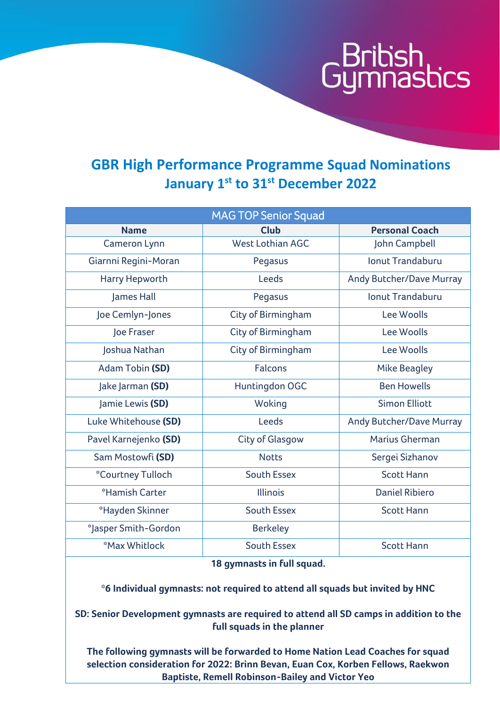# ibish<br>nnasbics

#### **GBR High Performance Programme Squad Nominations January 1st to 31st December 2022**

| <b>MAG TOP Senior Squad</b> |                        |                                 |  |  |
|-----------------------------|------------------------|---------------------------------|--|--|
| <b>Name</b>                 | <b>Club</b>            | <b>Personal Coach</b>           |  |  |
| Cameron Lynn                | West Lothian AGC       | John Campbell                   |  |  |
| Giarnni Regini-Moran        | Pegasus                | <b>Ionut Trandaburu</b>         |  |  |
| Harry Hepworth              | Leeds                  | <b>Andy Butcher/Dave Murray</b> |  |  |
| James Hall                  | Pegasus                | <b>Ionut Trandaburu</b>         |  |  |
| Joe Cemlyn-Jones            | City of Birmingham     | Lee Woolls                      |  |  |
| Joe Fraser                  | City of Birmingham     | Lee Woolls                      |  |  |
| Joshua Nathan               | City of Birmingham     | Lee Woolls                      |  |  |
| Adam Tobin (SD)             | <b>Falcons</b>         | <b>Mike Beagley</b>             |  |  |
| Jake Jarman (SD)            | Huntingdon OGC         | <b>Ben Howells</b>              |  |  |
| Jamie Lewis (SD)            | Woking                 | <b>Simon Elliott</b>            |  |  |
| Luke Whitehouse (SD)        | Leeds                  | Andy Butcher/Dave Murray        |  |  |
| Pavel Karnejenko (SD)       | <b>City of Glasgow</b> | Marius Gherman                  |  |  |
| Sam Mostowfi (SD)           | <b>Notts</b>           | Sergei Sizhanov                 |  |  |
| *Courtney Tulloch           | <b>South Essex</b>     | <b>Scott Hann</b>               |  |  |
| *Hamish Carter              | Illinois               | <b>Daniel Ribiero</b>           |  |  |
| *Hayden Skinner             | <b>South Essex</b>     | <b>Scott Hann</b>               |  |  |
| *Jasper Smith-Gordon        | <b>Berkeley</b>        |                                 |  |  |
| *Max Whitlock               | <b>South Essex</b>     | <b>Scott Hann</b>               |  |  |

**18 gymnasts in full squad.**

**\*6 Individual gymnasts: not required to attend all squads but invited by HNC**

**SD: Senior Development gymnasts are required to attend all SD camps in addition to the full squads in the planner**

**The following gymnasts will be forwarded to Home Nation Lead Coaches for squad selection consideration for 2022: Brinn Bevan, Euan Cox, Korben Fellows, Raekwon Baptiste, Remell Robinson-Bailey and Victor Yeo**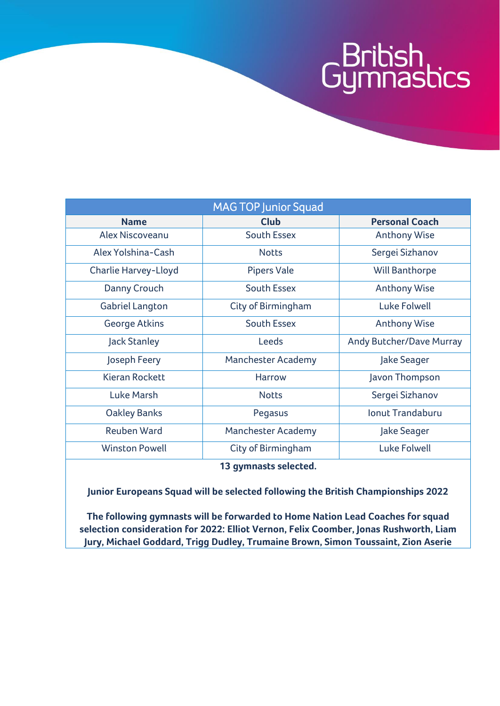### G<sup>British</sup><br>Gymnastics

| <b>MAG TOP Junior Squad</b> |                           |                                 |  |  |
|-----------------------------|---------------------------|---------------------------------|--|--|
| <b>Name</b>                 | <b>Club</b>               | <b>Personal Coach</b>           |  |  |
| Alex Niscoveanu             | South Essex               | <b>Anthony Wise</b>             |  |  |
| Alex Yolshina-Cash          | <b>Notts</b>              | Sergei Sizhanov                 |  |  |
| Charlie Harvey-Lloyd        | <b>Pipers Vale</b>        | Will Banthorpe                  |  |  |
| Danny Crouch                | <b>South Essex</b>        | <b>Anthony Wise</b>             |  |  |
| <b>Gabriel Langton</b>      | City of Birmingham        | Luke Folwell                    |  |  |
| <b>George Atkins</b>        | <b>South Essex</b>        | <b>Anthony Wise</b>             |  |  |
| <b>Jack Stanley</b>         | Leeds                     | <b>Andy Butcher/Dave Murray</b> |  |  |
| Joseph Feery                | <b>Manchester Academy</b> | Jake Seager                     |  |  |
| <b>Kieran Rockett</b>       | <b>Harrow</b>             | Javon Thompson                  |  |  |
| <b>Luke Marsh</b>           | <b>Notts</b>              | Sergei Sizhanov                 |  |  |
| <b>Oakley Banks</b>         | Pegasus                   | <b>Jonut Trandaburu</b>         |  |  |
| <b>Reuben Ward</b>          | <b>Manchester Academy</b> | Jake Seager                     |  |  |
| <b>Winston Powell</b>       | City of Birmingham        | Luke Folwell                    |  |  |
| 12 avannocke colockod       |                           |                                 |  |  |

**13 gymnasts selected.**

**Junior Europeans Squad will be selected following the British Championships 2022**

**The following gymnasts will be forwarded to Home Nation Lead Coaches for squad selection consideration for 2022: Elliot Vernon, Felix Coomber, Jonas Rushworth, Liam Jury, Michael Goddard, Trigg Dudley, Trumaine Brown, Simon Toussaint, Zion Aserie**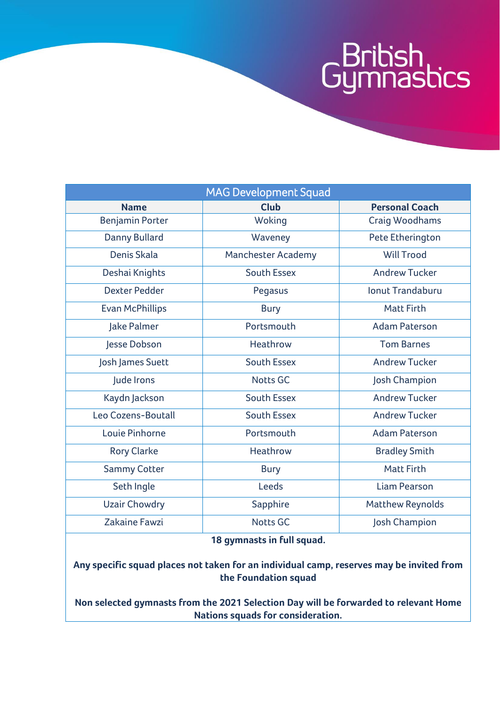## G<sup>British</sup><br>Gymnastics

| <b>MAG Development Squad</b> |                           |                         |  |  |
|------------------------------|---------------------------|-------------------------|--|--|
| <b>Name</b>                  | <b>Club</b>               | <b>Personal Coach</b>   |  |  |
| <b>Benjamin Porter</b>       | Woking                    | <b>Craig Woodhams</b>   |  |  |
| Danny Bullard                | Waveney                   | Pete Etherington        |  |  |
| Denis Skala                  | <b>Manchester Academy</b> | <b>Will Trood</b>       |  |  |
| Deshai Knights               | <b>South Essex</b>        | <b>Andrew Tucker</b>    |  |  |
| <b>Dexter Pedder</b>         | Pegasus                   | <b>Ionut Trandaburu</b> |  |  |
| <b>Evan McPhillips</b>       | <b>Bury</b>               | <b>Matt Firth</b>       |  |  |
| Jake Palmer                  | Portsmouth                | <b>Adam Paterson</b>    |  |  |
| Jesse Dobson                 | Heathrow                  | <b>Tom Barnes</b>       |  |  |
| Josh James Suett             | <b>South Essex</b>        | <b>Andrew Tucker</b>    |  |  |
| Jude Irons                   | <b>Notts GC</b>           | Josh Champion           |  |  |
| Kaydn Jackson                | <b>South Essex</b>        | <b>Andrew Tucker</b>    |  |  |
| Leo Cozens-Boutall           | <b>South Essex</b>        | <b>Andrew Tucker</b>    |  |  |
| Louie Pinhorne               | Portsmouth                | <b>Adam Paterson</b>    |  |  |
| <b>Rory Clarke</b>           | Heathrow                  | <b>Bradley Smith</b>    |  |  |
| <b>Sammy Cotter</b>          | <b>Bury</b>               | <b>Matt Firth</b>       |  |  |
| Seth Ingle                   | Leeds                     | <b>Liam Pearson</b>     |  |  |
| <b>Uzair Chowdry</b>         | Sapphire                  | <b>Matthew Reynolds</b> |  |  |
| Zakaine Fawzi                | <b>Notts GC</b>           | Josh Champion           |  |  |

**18 gymnasts in full squad.**

**Any specific squad places not taken for an individual camp, reserves may be invited from the Foundation squad**

**Non selected gymnasts from the 2021 Selection Day will be forwarded to relevant Home Nations squads for consideration.**